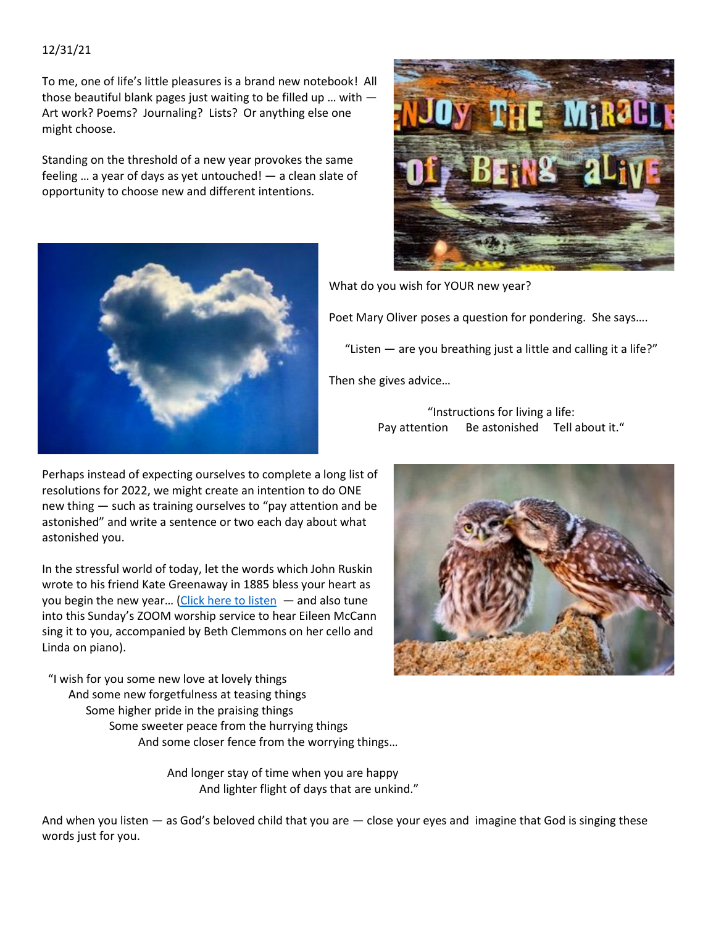## 12/31/21

To me, one of life's little pleasures is a brand new notebook! All those beautiful blank pages just waiting to be filled up … with — Art work? Poems? Journaling? Lists? Or anything else one might choose.

Standing on the threshold of a new year provokes the same feeling … a year of days as yet untouched! — a clean slate of opportunity to choose new and different intentions.





What do you wish for YOUR new year?

Poet Mary Oliver poses a question for pondering. She says….

"Listen  $-$  are you breathing just a little and calling it a life?"

Then she gives advice…

"Instructions for living a life: Pay attention Be astonished Tell about it."

Perhaps instead of expecting ourselves to complete a long list of resolutions for 2022, we might create an intention to do ONE new thing — such as training ourselves to "pay attention and be astonished" and write a sentence or two each day about what astonished you.

In the stressful world of today, let the words which John Ruskin wrote to his friend Kate Greenaway in 1885 bless your heart as you begin the new year... [\(Click here to listen](https://www.youtube.com/watch?v=ueMyaYoxP0I)  $-$  and also tune into this Sunday's ZOOM worship service to hear Eileen McCann sing it to you, accompanied by Beth Clemmons on her cello and Linda on piano).

"I wish for you some new love at lovely things And some new forgetfulness at teasing things Some higher pride in the praising things Some sweeter peace from the hurrying things And some closer fence from the worrying things…

> And longer stay of time when you are happy And lighter flight of days that are unkind."

And when you listen — as God's beloved child that you are — close your eyes and imagine that God is singing these words just for you.